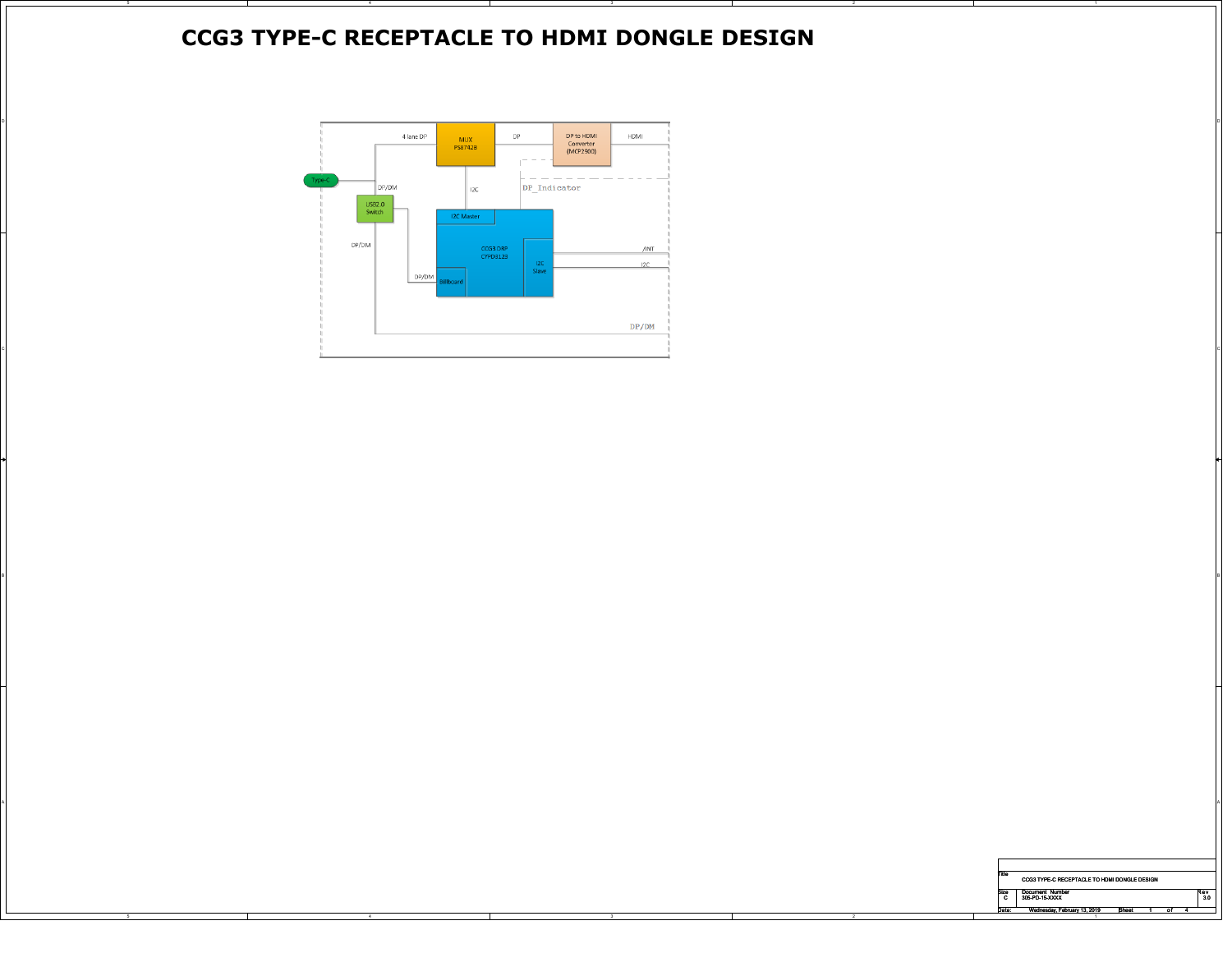## **CCG3 TYPE-C RECEPTACLE TO HDMI DONGLE DESIGN**



A

 $\mathsf{B}$ 

A POSTAGE A POSTAGE A POSTAGE A POSTAGE A POSTAGE A POSTAGE A POSTAGE A POSTAGE A POSTAGE A POSTAGE A POSTAGE A

| Title<br>CCG3 TYPE-C RECEPTACLE TO HDMI DONGLE DESIGN |                              |       |  |    |  |     |  |  |
|-------------------------------------------------------|------------------------------|-------|--|----|--|-----|--|--|
| Size                                                  | <b>Document Number</b>       |       |  |    |  | Rev |  |  |
| c                                                     | 305-PD-15-XXXX               |       |  |    |  | 3.0 |  |  |
| Date:                                                 | Wednesday, February 13, 2019 | Sheet |  | n1 |  |     |  |  |
|                                                       |                              |       |  |    |  |     |  |  |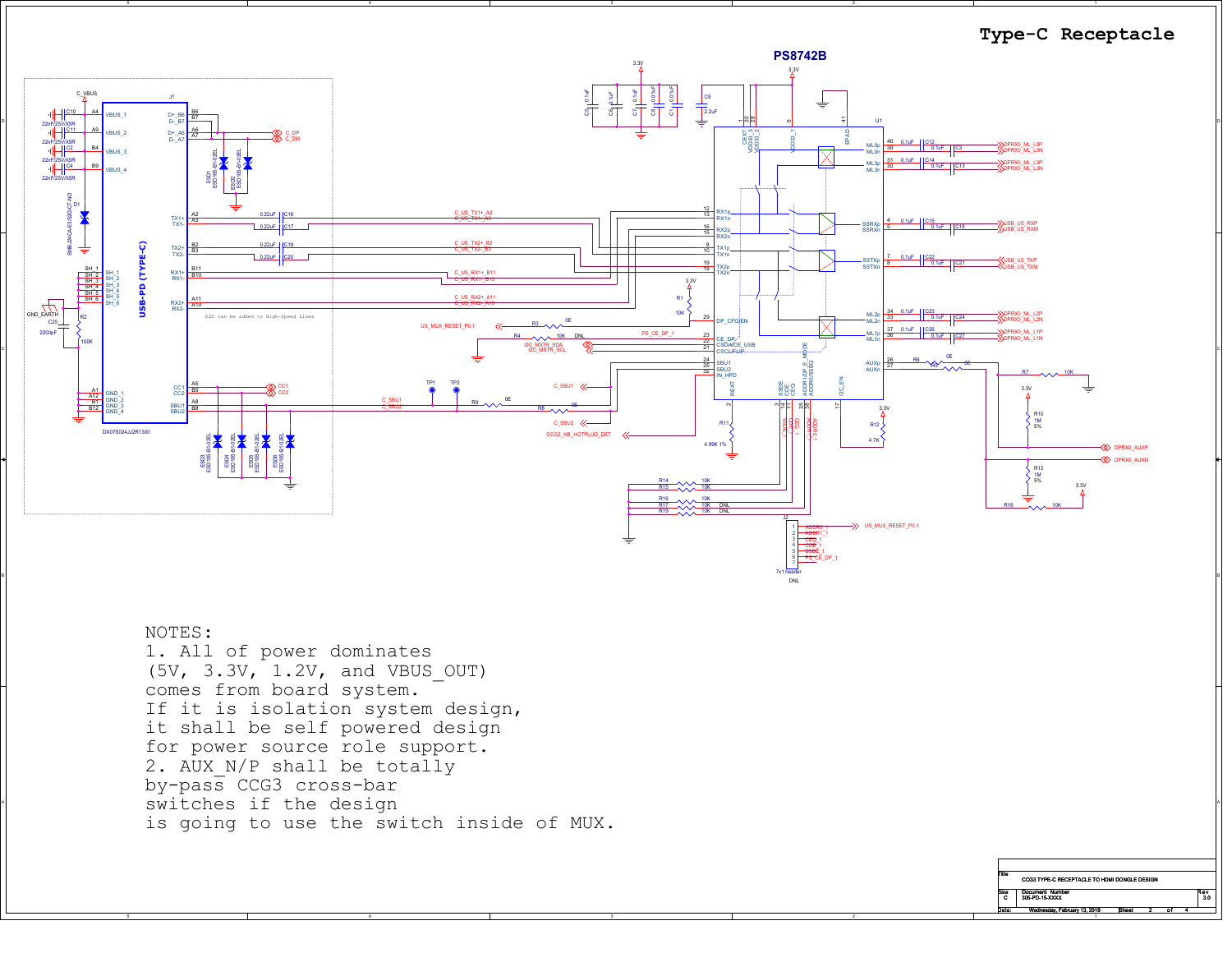

## NOTES:

A

 $\uparrow$  switches if the design  $\uparrow$  1. All of power dominates (5V, 3.3V, 1.2V, and VBUS\_OUT) comes from board system. If it is isolation system design, it shall be self powered design for power source role support.2. AUX N/P shall be totally by-pass CCG3 cross-bar is going to use the switch inside of MUX.

| Title     | CCG3 TYPE-C RECEPTACLE TO HDMI DONGLE DESIGN |              |  |    |  |           |  |
|-----------|----------------------------------------------|--------------|--|----|--|-----------|--|
| Size<br>c | <b>Document Number</b><br>305-PD-15-XXXX     |              |  |    |  | AV<br>3.0 |  |
| Date:     | Wednesday, February 13, 2019                 | <b>Sheet</b> |  | o. |  |           |  |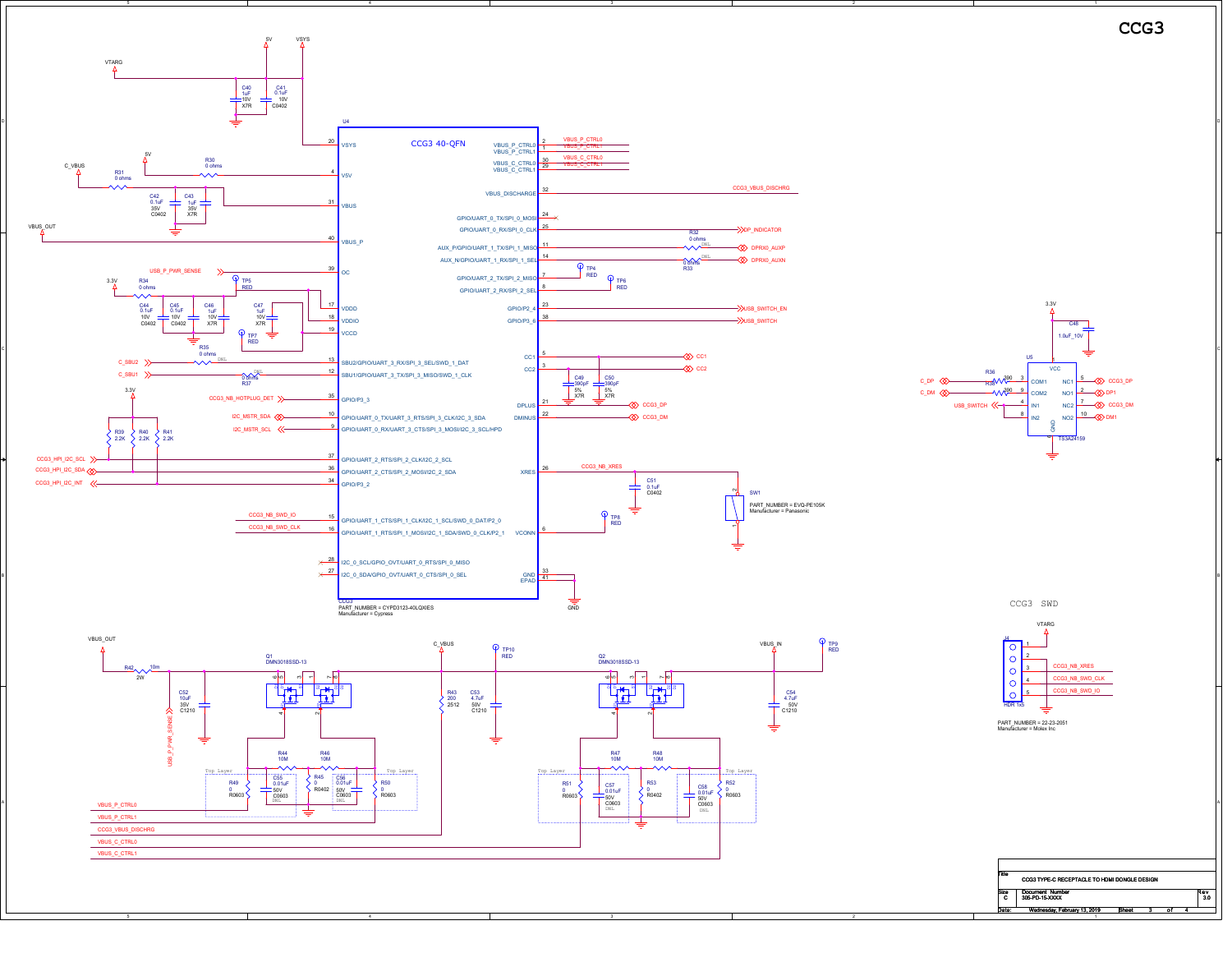

A

USB\_SWITCH << CCG3\_DPCCG3\_DM $\otimes$  DF DM1**WAPP 9** COM R38<sup>4</sup> C48 1.0uF\_10VTS3A24159COM1 $\frac{3}{2}$  COM COM2IN1NC1<sup>≜</sup>ا NC2 $^2$ VCCg<br>3 N<sub>C</sub>  $1\frac{2}{3}$  $NOS$  10 R36

3.3V

**CCG3**

CCG3 SWD



| Title     | CCG3 TYPE-C RECEPTACLE TO HDMI DONGLE DESIGN |              |  |    |  |           |  |
|-----------|----------------------------------------------|--------------|--|----|--|-----------|--|
| Size<br>c | <b>Document Number</b><br>305-PD-15-XXXX     |              |  |    |  | ₹ev<br>30 |  |
| Date:     | Wednesday, February 13, 2019                 | <b>Sheet</b> |  | Ωf |  |           |  |